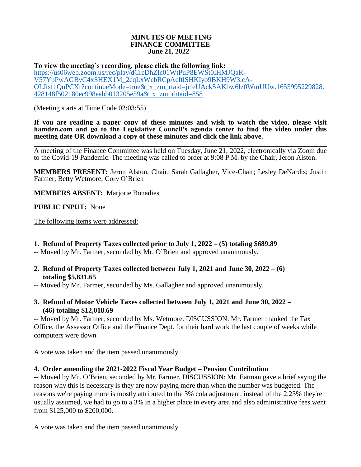#### **MINUTES OF MEETING FINANCE COMMITTEE June 21, 2022**

**To view the meeting's recording, please click the following link:** [https://us06web.zoom.us/rec/play/dCreDhZIc01WtPuP8EWSt0IHMJQaK-](https://us06web.zoom.us/rec/play/dCreDhZIc01WtPuP8EWSt0IHMJQaK-V57YpPwAGBvC4xSHEX1M_2cqLxWcbRCpAcftlSHKIyo9BKH9W3.cA-OLJtsf1QnPCXr?continueMode=true&_x_zm_rtaid=jrfeUAckSAKbw6lz0WmUUw.1655995229828.428148f502180ec998eabb013205e59a&_x_zm_rhtaid=858)[V57YpPwAGBvC4xSHEX1M\\_2cqLxWcbRCpAcftlSHKIyo9BKH9W3.cA-](https://us06web.zoom.us/rec/play/dCreDhZIc01WtPuP8EWSt0IHMJQaK-V57YpPwAGBvC4xSHEX1M_2cqLxWcbRCpAcftlSHKIyo9BKH9W3.cA-OLJtsf1QnPCXr?continueMode=true&_x_zm_rtaid=jrfeUAckSAKbw6lz0WmUUw.1655995229828.428148f502180ec998eabb013205e59a&_x_zm_rhtaid=858)[OLJtsf1QnPCXr?continueMode=true&\\_x\\_zm\\_rtaid=jrfeUAckSAKbw6lz0WmUUw.1655995229828.](https://us06web.zoom.us/rec/play/dCreDhZIc01WtPuP8EWSt0IHMJQaK-V57YpPwAGBvC4xSHEX1M_2cqLxWcbRCpAcftlSHKIyo9BKH9W3.cA-OLJtsf1QnPCXr?continueMode=true&_x_zm_rtaid=jrfeUAckSAKbw6lz0WmUUw.1655995229828.428148f502180ec998eabb013205e59a&_x_zm_rhtaid=858) [428148f502180ec998eabb013205e59a&\\_x\\_zm\\_rhtaid=858](https://us06web.zoom.us/rec/play/dCreDhZIc01WtPuP8EWSt0IHMJQaK-V57YpPwAGBvC4xSHEX1M_2cqLxWcbRCpAcftlSHKIyo9BKH9W3.cA-OLJtsf1QnPCXr?continueMode=true&_x_zm_rtaid=jrfeUAckSAKbw6lz0WmUUw.1655995229828.428148f502180ec998eabb013205e59a&_x_zm_rhtaid=858)

(Meeting starts at Time Code 02:03:55)

**If you are reading a paper copy of these minutes and wish to watch the video, please visit hamden.com and go to the Legislative Council's agenda center to find the video under this meeting date OR download a copy of these minutes and click the link above.**

**\_\_\_\_\_\_\_\_\_\_\_\_\_\_\_\_\_\_\_\_\_\_\_\_\_\_\_\_\_\_\_\_\_\_\_\_\_\_\_\_\_\_\_\_\_\_\_\_\_\_\_\_\_\_\_\_\_\_\_\_\_\_\_\_\_\_\_\_\_\_\_\_\_\_\_\_\_\_\_\_\_\_\_\_\_\_\_\_\_\_** A meeting of the Finance Committee was held on Tuesday, June 21, 2022, electronically via Zoom due to the Covid-19 Pandemic. The meeting was called to order at 9:08 P.M. by the Chair, Jeron Alston.

**MEMBERS PRESENT:** Jeron Alston, Chair; Sarah Gallagher, Vice-Chair; Lesley DeNardis; Justin Farmer; Betty Wetmore; Cory O'Brien

**MEMBERS ABSENT:** Marjorie Bonadies

**PUBLIC INPUT:** None

The following items were addressed:

### **1. Refund of Property Taxes collected prior to July 1, 2022 – (5) totaling \$689.89**

-- Moved by Mr. Farmer, seconded by Mr. O'Brien and approved unanimously.

**2. Refund of Property Taxes collected between July 1, 2021 and June 30, 2022 – (6) totaling \$5,831.65**

-- Moved by Mr. Farmer, seconded by Ms. Gallagher and approved unanimously.

**3. Refund of Motor Vehicle Taxes collected between July 1, 2021 and June 30, 2022 – (46) totaling \$12,018.69**

-- Moved by Mr. Farmer, seconded by Ms. Wetmore. DISCUSSION: Mr. Farmer thanked the Tax Office, the Assessor Office and the Finance Dept. for their hard work the last couple of weeks while computers were down.

A vote was taken and the item passed unanimously.

### **4. Order amending the 2021-2022 Fiscal Year Budget – Pension Contribution**

-- Moved by Mr. O'Brien, seconded by Mr. Farmer. DISCUSSION: Mr. Eatman gave a brief saying the reason why this is necessary is they are now paying more than when the number was budgeted. The reasons we're paying more is mostly attributed to the 3% cola adjustment, instead of the 2.23% they're usually assumed, we had to go to a 3% in a higher place in every area and also administrative fees went from \$125,000 to \$200,000.

A vote was taken and the item passed unanimously.